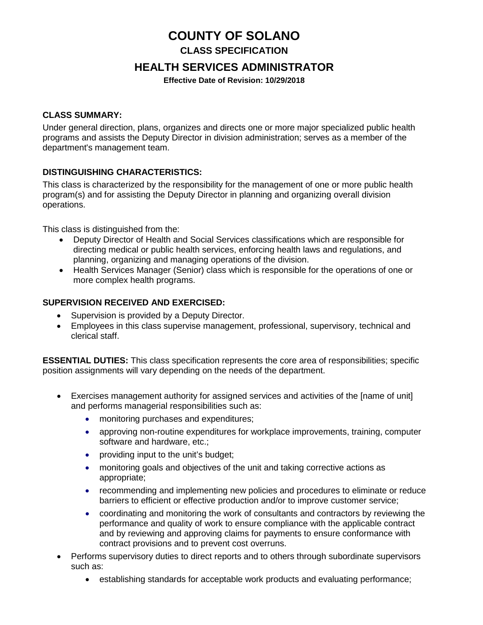# **COUNTY OF SOLANO**

**CLASS SPECIFICATION** 

# **HEALTH SERVICES ADMINISTRATOR**

**Effective Date of Revision: 10/29/2018**

### **CLASS SUMMARY:**

Under general direction, plans, organizes and directs one or more major specialized public health programs and assists the Deputy Director in division administration; serves as a member of the department's management team.

### **DISTINGUISHING CHARACTERISTICS:**

This class is characterized by the responsibility for the management of one or more public health program(s) and for assisting the Deputy Director in planning and organizing overall division operations.

This class is distinguished from the:

- Deputy Director of Health and Social Services classifications which are responsible for directing medical or public health services, enforcing health laws and regulations, and planning, organizing and managing operations of the division.
- Health Services Manager (Senior) class which is responsible for the operations of one or more complex health programs.

### **SUPERVISION RECEIVED AND EXERCISED:**

- Supervision is provided by a Deputy Director.
- Employees in this class supervise management, professional, supervisory, technical and clerical staff.

**ESSENTIAL DUTIES:** This class specification represents the core area of responsibilities; specific position assignments will vary depending on the needs of the department.

- Exercises management authority for assigned services and activities of the [name of unit] and performs managerial responsibilities such as:
	- monitoring purchases and expenditures;
	- approving non-routine expenditures for workplace improvements, training, computer software and hardware, etc.;
	- providing input to the unit's budget;
	- monitoring goals and objectives of the unit and taking corrective actions as appropriate;
	- recommending and implementing new policies and procedures to eliminate or reduce barriers to efficient or effective production and/or to improve customer service;
	- coordinating and monitoring the work of consultants and contractors by reviewing the performance and quality of work to ensure compliance with the applicable contract and by reviewing and approving claims for payments to ensure conformance with contract provisions and to prevent cost overruns.
- Performs supervisory duties to direct reports and to others through subordinate supervisors such as:
	- establishing standards for acceptable work products and evaluating performance;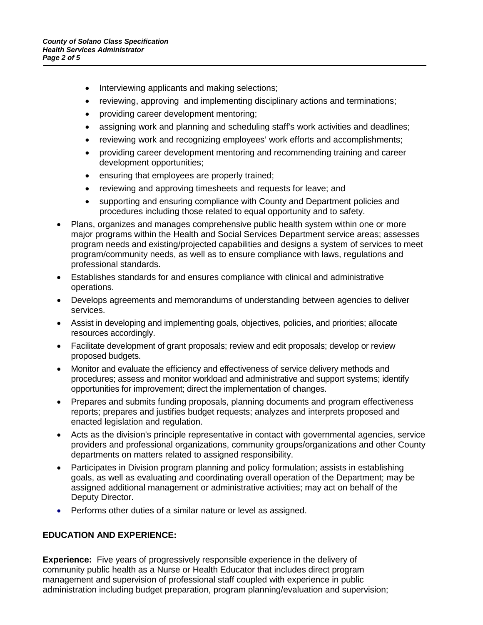- Interviewing applicants and making selections;
- reviewing, approving and implementing disciplinary actions and terminations;
- providing career development mentoring;
- assigning work and planning and scheduling staff's work activities and deadlines;
- reviewing work and recognizing employees' work efforts and accomplishments;
- providing career development mentoring and recommending training and career development opportunities;
- ensuring that employees are properly trained;
- reviewing and approving timesheets and requests for leave; and
- supporting and ensuring compliance with County and Department policies and procedures including those related to equal opportunity and to safety.
- Plans, organizes and manages comprehensive public health system within one or more major programs within the Health and Social Services Department service areas; assesses program needs and existing/projected capabilities and designs a system of services to meet program/community needs, as well as to ensure compliance with laws, regulations and professional standards.
- Establishes standards for and ensures compliance with clinical and administrative operations.
- Develops agreements and memorandums of understanding between agencies to deliver services.
- Assist in developing and implementing goals, objectives, policies, and priorities; allocate resources accordingly.
- Facilitate development of grant proposals; review and edit proposals; develop or review proposed budgets.
- Monitor and evaluate the efficiency and effectiveness of service delivery methods and procedures; assess and monitor workload and administrative and support systems; identify opportunities for improvement; direct the implementation of changes.
- Prepares and submits funding proposals, planning documents and program effectiveness reports; prepares and justifies budget requests; analyzes and interprets proposed and enacted legislation and regulation.
- Acts as the division's principle representative in contact with governmental agencies, service providers and professional organizations, community groups/organizations and other County departments on matters related to assigned responsibility.
- Participates in Division program planning and policy formulation; assists in establishing goals, as well as evaluating and coordinating overall operation of the Department; may be assigned additional management or administrative activities; may act on behalf of the Deputy Director.
- Performs other duties of a similar nature or level as assigned.

### **EDUCATION AND EXPERIENCE:**

**Experience:** Five years of progressively responsible experience in the delivery of community public health as a Nurse or Health Educator that includes direct program management and supervision of professional staff coupled with experience in public administration including budget preparation, program planning/evaluation and supervision;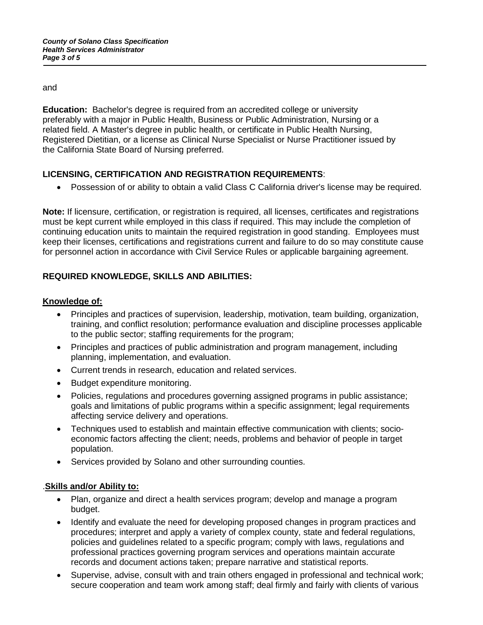and

**Education:** Bachelor's degree is required from an accredited college or university preferably with a major in Public Health, Business or Public Administration, Nursing or a related field. A Master's degree in public health, or certificate in Public Health Nursing, Registered Dietitian, or a license as Clinical Nurse Specialist or Nurse Practitioner issued by the California State Board of Nursing preferred.

### **LICENSING, CERTIFICATION AND REGISTRATION REQUIREMENTS**:

• Possession of or ability to obtain a valid Class C California driver's license may be required.

**Note:** If licensure, certification, or registration is required, all licenses, certificates and registrations must be kept current while employed in this class if required. This may include the completion of continuing education units to maintain the required registration in good standing. Employees must keep their licenses, certifications and registrations current and failure to do so may constitute cause for personnel action in accordance with Civil Service Rules or applicable bargaining agreement.

## **REQUIRED KNOWLEDGE, SKILLS AND ABILITIES:**

### **Knowledge of:**

- Principles and practices of supervision, leadership, motivation, team building, organization, training, and conflict resolution; performance evaluation and discipline processes applicable to the public sector; staffing requirements for the program;
- Principles and practices of public administration and program management, including planning, implementation, and evaluation.
- Current trends in research, education and related services.
- Budget expenditure monitoring.
- Policies, regulations and procedures governing assigned programs in public assistance; goals and limitations of public programs within a specific assignment; legal requirements affecting service delivery and operations.
- Techniques used to establish and maintain effective communication with clients; socioeconomic factors affecting the client; needs, problems and behavior of people in target population.
- Services provided by Solano and other surrounding counties.

### .**Skills and/or Ability to:**

- Plan, organize and direct a health services program; develop and manage a program budget.
- Identify and evaluate the need for developing proposed changes in program practices and procedures; interpret and apply a variety of complex county, state and federal regulations, policies and guidelines related to a specific program; comply with laws, regulations and professional practices governing program services and operations maintain accurate records and document actions taken; prepare narrative and statistical reports.
- Supervise, advise, consult with and train others engaged in professional and technical work; secure cooperation and team work among staff; deal firmly and fairly with clients of various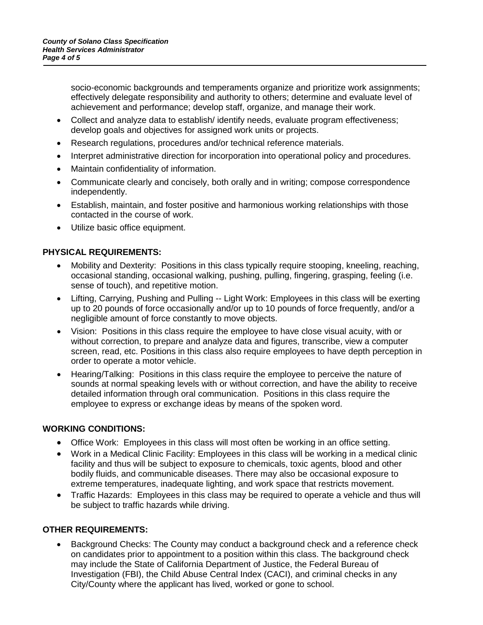socio-economic backgrounds and temperaments organize and prioritize work assignments; effectively delegate responsibility and authority to others; determine and evaluate level of achievement and performance; develop staff, organize, and manage their work.

- Collect and analyze data to establish/ identify needs, evaluate program effectiveness; develop goals and objectives for assigned work units or projects.
- Research regulations, procedures and/or technical reference materials.
- Interpret administrative direction for incorporation into operational policy and procedures.
- Maintain confidentiality of information.
- Communicate clearly and concisely, both orally and in writing; compose correspondence independently.
- Establish, maintain, and foster positive and harmonious working relationships with those contacted in the course of work.
- Utilize basic office equipment.

#### **PHYSICAL REQUIREMENTS:**

- Mobility and Dexterity: Positions in this class typically require stooping, kneeling, reaching, occasional standing, occasional walking, pushing, pulling, fingering, grasping, feeling (i.e. sense of touch), and repetitive motion.
- Lifting, Carrying, Pushing and Pulling -- Light Work: Employees in this class will be exerting up to 20 pounds of force occasionally and/or up to 10 pounds of force frequently, and/or a negligible amount of force constantly to move objects.
- Vision: Positions in this class require the employee to have close visual acuity, with or without correction, to prepare and analyze data and figures, transcribe, view a computer screen, read, etc. Positions in this class also require employees to have depth perception in order to operate a motor vehicle.
- Hearing/Talking: Positions in this class require the employee to perceive the nature of sounds at normal speaking levels with or without correction, and have the ability to receive detailed information through oral communication. Positions in this class require the employee to express or exchange ideas by means of the spoken word.

#### **WORKING CONDITIONS:**

- Office Work: Employees in this class will most often be working in an office setting.
- Work in a Medical Clinic Facility: Employees in this class will be working in a medical clinic facility and thus will be subject to exposure to chemicals, toxic agents, blood and other bodily fluids, and communicable diseases. There may also be occasional exposure to extreme temperatures, inadequate lighting, and work space that restricts movement.
- Traffic Hazards: Employees in this class may be required to operate a vehicle and thus will be subject to traffic hazards while driving.

### **OTHER REQUIREMENTS:**

• Background Checks: The County may conduct a background check and a reference check on candidates prior to appointment to a position within this class. The background check may include the State of California Department of Justice, the Federal Bureau of Investigation (FBI), the Child Abuse Central Index (CACI), and criminal checks in any City/County where the applicant has lived, worked or gone to school.